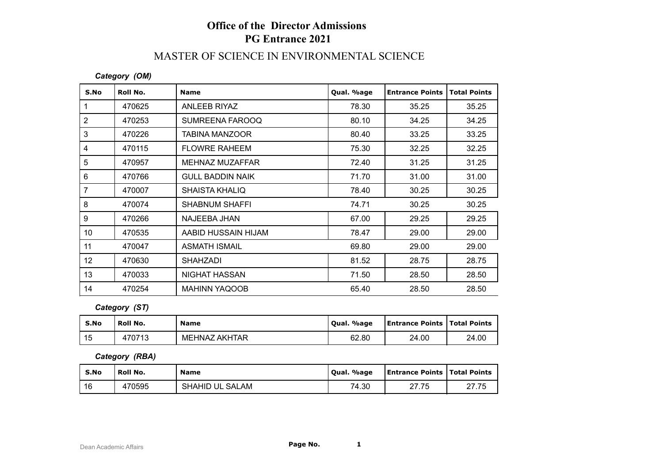# **Office of the Director Admissions PG Entrance 2021**

# MASTER OF SCIENCE IN ENVIRONMENTAL SCIENCE

#### *Category (OM)*

| S.No            | Roll No. | <b>Name</b>             | Qual. %age | <b>Entrance Points</b> | <b>Total Points</b> |
|-----------------|----------|-------------------------|------------|------------------------|---------------------|
|                 | 470625   | ANLEEB RIYAZ            | 78.30      | 35.25                  | 35.25               |
| $\overline{2}$  | 470253   | SUMREENA FAROOQ         | 80.10      | 34.25                  | 34.25               |
| 3               | 470226   | <b>TABINA MANZOOR</b>   | 80.40      | 33.25                  | 33.25               |
| 4               | 470115   | <b>FLOWRE RAHEEM</b>    | 75.30      | 32.25                  | 32.25               |
| 5               | 470957   | MEHNAZ MUZAFFAR         | 72.40      | 31.25                  | 31.25               |
| 6               | 470766   | <b>GULL BADDIN NAIK</b> | 71.70      | 31.00                  | 31.00               |
| 7               | 470007   | <b>SHAISTA KHALIQ</b>   | 78.40      | 30.25                  | 30.25               |
| 8               | 470074   | SHABNUM SHAFFI          | 74.71      | 30.25                  | 30.25               |
| 9               | 470266   | NAJEEBA JHAN            | 67.00      | 29.25                  | 29.25               |
| 10 <sup>°</sup> | 470535   | AABID HUSSAIN HIJAM     | 78.47      | 29.00                  | 29.00               |
| 11              | 470047   | <b>ASMATH ISMAIL</b>    | 69.80      | 29.00                  | 29.00               |
| 12 <sup>°</sup> | 470630   | <b>SHAHZADI</b>         | 81.52      | 28.75                  | 28.75               |
| 13              | 470033   | NIGHAT HASSAN           | 71.50      | 28.50                  | 28.50               |
| 14              | 470254   | <b>MAHINN YAQOOB</b>    | 65.40      | 28.50                  | 28.50               |

*Category (ST)*

| S.No | Roll No. | <b>Name</b>          | Qual. %age | <b>Entrance Points   Total Points</b> |       |
|------|----------|----------------------|------------|---------------------------------------|-------|
| 15   | 470713   | <b>MEHNAZ AKHTAR</b> | 62.80      | 24.00                                 | 24.00 |

*Category (RBA)*

| S.No | Roll No. | <b>Name</b>     | Qual. %age | <b>Entrance Points   Total Points</b> |       |
|------|----------|-----------------|------------|---------------------------------------|-------|
| 16   | 470595   | SHAHID UL SALAM | 74.30      | <b>つフ フ斥</b><br>41.IJ                 | 27.75 |